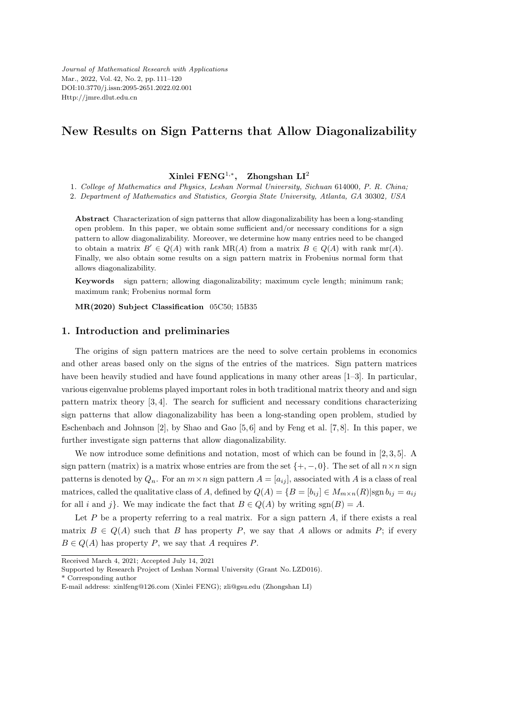*Journal of Mathematical Research with Applications* Mar., 2022, Vol. 42, No. 2, pp. 111–120 DOI:10.3770/j.issn:2095-2651.2022.02.001 Http://jmre.dlut.edu.cn

# **New Results on Sign Patterns that Allow Diagonalizability**

#### **Xinlei FENG**<sup>1</sup>*,<sup>∗</sup>* **, Zhongshan LI**<sup>2</sup>

1*. College of Mathematics and Physics, Leshan Normal University, Sichuan* 614000*, P. R. China;*

2*. Department of Mathematics and Statistics, Georgia State University, Atlanta, GA* 30302*, USA*

**Abstract** Characterization of sign patterns that allow diagonalizability has been a long-standing open problem. In this paper, we obtain some sufficient and/or necessary conditions for a sign pattern to allow diagonalizability. Moreover, we determine how many entries need to be changed to obtain a matrix  $B' \in Q(A)$  with rank MR(*A*) from a matrix  $B \in Q(A)$  with rank mr(*A*). Finally, we also obtain some results on a sign pattern matrix in Frobenius normal form that allows diagonalizability.

**Keywords** sign pattern; allowing diagonalizability; maximum cycle length; minimum rank; maximum rank; Frobenius normal form

**MR(2020) Subject Classification** 05C50; 15B35

#### **1. Introduction and preliminaries**

The origins of sign pattern matrices are the need to solve certain problems in economics and other areas based only on the signs of the entries of the matrices. Sign pattern matrices have been heavily studied and have found applications in many other areas [1–3]. In particular, various eigenvalue problems played important roles in both traditional matrix theory and and sign pattern matrix theory [3, 4]. The search for sufficient and necessary conditions characterizing sign patterns that allow diagonalizability has been a long-standing open problem, studied by Eschenbach and Johnson [2], by Shao and Gao [5, 6] and by Feng et al. [7, 8]. In this paper, we further investigate sign patterns that allow diagonalizability.

We now introduce some definitions and notation, most of which can be found in [2, 3, 5]. A sign pattern (matrix) is a matrix whose entries are from the set  $\{+, -, 0\}$ . The set of all  $n \times n$  sign patterns is denoted by  $Q_n$ . For an  $m \times n$  sign pattern  $A = [a_{ij}]$ , associated with *A* is a class of real matrices, called the qualitative class of *A*, defined by  $Q(A) = \{B = [b_{ij}] \in M_{m \times n}(R) | \text{sgn } b_{ij} = a_{ij} \}$ for all *i* and *j*}. We may indicate the fact that  $B \in Q(A)$  by writing sgn $(B) = A$ .

Let  $P$  be a property referring to a real matrix. For a sign pattern  $A$ , if there exists a real matrix  $B \in Q(A)$  such that *B* has property *P*, we say that *A* allows or admits *P*; if every  $B \in Q(A)$  has property *P*, we say that *A* requires *P*.

\* Corresponding author

Received March 4, 2021; Accepted July 14, 2021

Supported by Research Project of Leshan Normal University (Grant No. LZD016).

E-mail address: xinlfeng@126.com (Xinlei FENG); zli@gsu.edu (Zhongshan LI)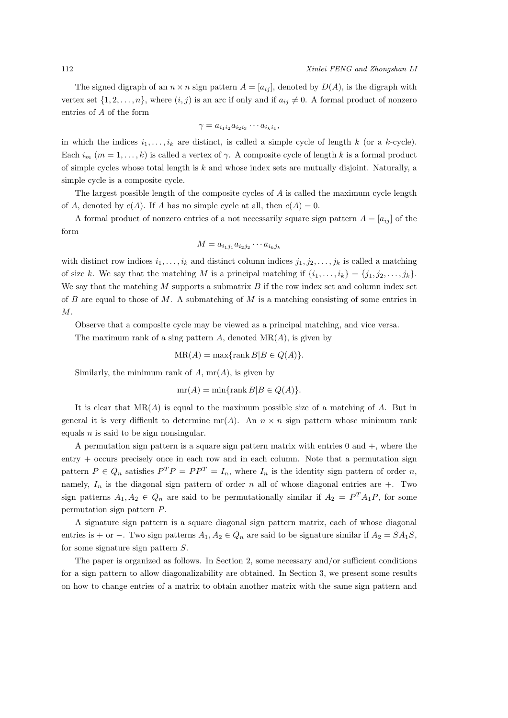The signed digraph of an  $n \times n$  sign pattern  $A = [a_{ij}]$ , denoted by  $D(A)$ , is the digraph with vertex set  $\{1, 2, \ldots, n\}$ , where  $(i, j)$  is an arc if only and if  $a_{ij} \neq 0$ . A formal product of nonzero entries of *A* of the form

$$
\gamma = a_{i_1 i_2} a_{i_2 i_3} \cdots a_{i_k i_1},
$$

in which the indices  $i_1, \ldots, i_k$  are distinct, is called a simple cycle of length  $k$  (or a  $k$ -cycle). Each  $i_m$   $(m = 1, \ldots, k)$  is called a vertex of  $\gamma$ . A composite cycle of length k is a formal product of simple cycles whose total length is *k* and whose index sets are mutually disjoint. Naturally, a simple cycle is a composite cycle.

The largest possible length of the composite cycles of *A* is called the maximum cycle length of *A*, denoted by  $c(A)$ . If *A* has no simple cycle at all, then  $c(A) = 0$ .

A formal product of nonzero entries of a not necessarily square sign pattern  $A = [a_{ij}]$  of the form

$$
M = a_{i_1j_1}a_{i_2j_2}\cdots a_{i_kj_k}
$$

with distinct row indices  $i_1, \ldots, i_k$  and distinct column indices  $j_1, j_2, \ldots, j_k$  is called a matching of size *k*. We say that the matching *M* is a principal matching if  $\{i_1, \ldots, i_k\} = \{j_1, j_2, \ldots, j_k\}$ . We say that the matching *M* supports a submatrix *B* if the row index set and column index set of *B* are equal to those of *M*. A submatching of *M* is a matching consisting of some entries in *M*.

Observe that a composite cycle may be viewed as a principal matching, and vice versa. The maximum rank of a sing pattern *A*, denoted MR(*A*), is given by

$$
MR(A) = \max\{\operatorname{rank} B|B \in Q(A)\}.
$$

Similarly, the minimum rank of  $A$ ,  $mr(A)$ , is given by

$$
mr(A) = min\{rank B|B \in Q(A)\}.
$$

It is clear that MR(*A*) is equal to the maximum possible size of a matching of *A*. But in general it is very difficult to determine  $mr(A)$ . An  $n \times n$  sign pattern whose minimum rank equals *n* is said to be sign nonsingular.

A permutation sign pattern is a square sign pattern matrix with entries 0 and +*,* where the entry + occurs precisely once in each row and in each column. Note that a permutation sign pattern  $P \in Q_n$  satisfies  $P^T P = P P^T = I_n$ , where  $I_n$  is the identity sign pattern of order *n*, namely,  $I_n$  is the diagonal sign pattern of order *n* all of whose diagonal entries are  $+$ . Two sign patterns  $A_1, A_2 \in Q_n$  are said to be permutationally similar if  $A_2 = P^T A_1 P$ , for some permutation sign pattern *P*.

A signature sign pattern is a square diagonal sign pattern matrix, each of whose diagonal entries is + or −. Two sign patterns  $A_1, A_2 \in Q_n$  are said to be signature similar if  $A_2 = SA_1S$ , for some signature sign pattern *S*.

The paper is organized as follows. In Section 2, some necessary and/or sufficient conditions for a sign pattern to allow diagonalizability are obtained. In Section 3, we present some results on how to change entries of a matrix to obtain another matrix with the same sign pattern and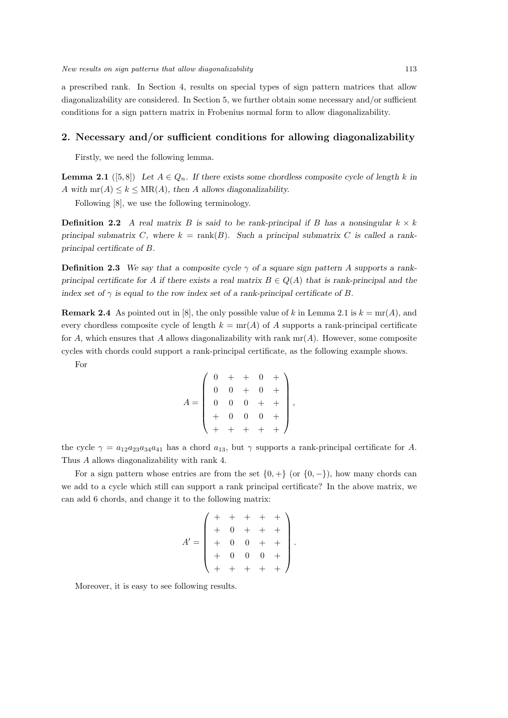a prescribed rank. In Section 4, results on special types of sign pattern matrices that allow diagonalizability are considered. In Section 5, we further obtain some necessary and/or sufficient conditions for a sign pattern matrix in Frobenius normal form to allow diagonalizability.

### **2. Necessary and/or sufficient conditions for allowing diagonalizability**

Firstly, we need the following lemma.

**Lemma 2.1** ([5,8]) Let  $A \in Q_n$ . If there exists some chordless composite cycle of length  $k$  in *A* with  $mr(A) \leq k \leq MR(A)$ , then *A* allows diagonalizability.

Following [8], we use the following terminology.

**Definition 2.2** *A real matrix B is said to be rank-principal if B has a nonsingular*  $k \times k$ *principal submatrix C*, where  $k = \text{rank}(B)$ . Such a principal submatrix *C* is called a rank*principal certificate of B.*

**Definition 2.3** We say that a composite cycle  $\gamma$  of a square sign pattern A supports a rank*principal certificate for A if there exists a real matrix*  $B \in Q(A)$  *that is rank-principal and the index set of*  $\gamma$  *is equal to the row index set of a rank-principal certificate of B.* 

**Remark 2.4** As pointed out in [8], the only possible value of k in Lemma 2.1 is  $k = \text{mr}(A)$ , and every chordless composite cycle of length  $k = \text{mr}(A)$  of A supports a rank-principal certificate for *A*, which ensures that *A* allows diagonalizability with rank  $mr(A)$ . However, some composite cycles with chords could support a rank-principal certificate, as the following example shows.

For

$$
A = \left( \begin{array}{cccc} 0 & + & + & 0 & + \\ 0 & 0 & + & 0 & + \\ 0 & 0 & 0 & + & + \\ + & 0 & 0 & 0 & + \\ + & + & + & + & + \end{array} \right),
$$

the cycle  $\gamma = a_{12}a_{23}a_{34}a_{41}$  has a chord  $a_{13}$ , but  $\gamma$  supports a rank-principal certificate for *A*. Thus *A* allows diagonalizability with rank 4.

For a sign pattern whose entries are from the set  $\{0, +\}$  (or  $\{0, -\}$ ), how many chords can we add to a cycle which still can support a rank principal certificate? In the above matrix, we can add 6 chords, and change it to the following matrix:

$$
A' = \begin{pmatrix} + & + & + & + \\ + & 0 & + & + & + \\ + & 0 & 0 & + & + \\ + & 0 & 0 & 0 & + \\ + & + & + & + & + \end{pmatrix}.
$$

Moreover, it is easy to see following results.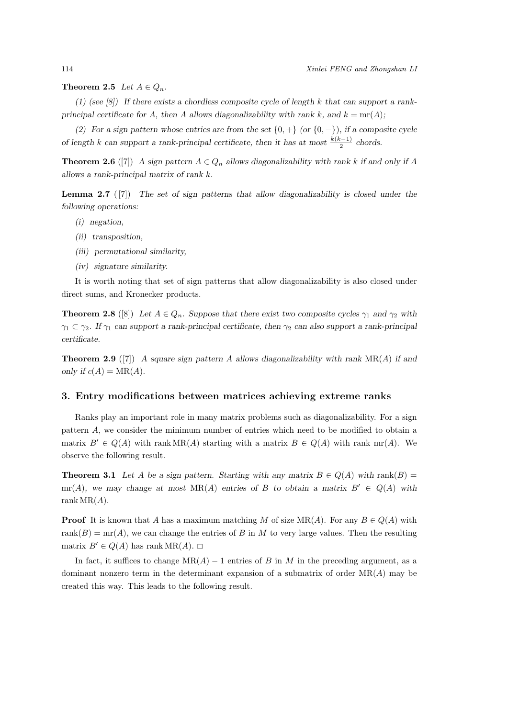**Theorem 2.5** *Let*  $A \in Q_n$ *.* 

*(1) (see [8]) If there exists a chordless composite cycle of length k that can support a rankprincipal certificate for A, then A* allows diagonalizability with rank  $k$ *, and*  $k = \text{mr}(A)$ ;

*(2) For a sign pattern whose entries are from the set*  $\{0, +\}$  *(or*  $\{0, -\}$ *), if a composite cycle of length k can support a rank-principal certificate, then it has at most*  $\frac{k(k-1)}{2}$  chords.

**Theorem 2.6** ([7]) *A* sign pattern  $A \in Q_n$  allows diagonalizability with rank *k* if and only if *A allows a rank-principal matrix of rank k.*

**Lemma 2.7** ( [7]) *The set of sign patterns that allow diagonalizability is closed under the following operations:*

- *(i) negation,*
- *(ii) transposition,*
- *(iii) permutational similarity,*
- *(iv) signature similarity.*

It is worth noting that set of sign patterns that allow diagonalizability is also closed under direct sums, and Kronecker products.

**Theorem 2.8** ([8]) Let  $A \in Q_n$ . Suppose that there exist two composite cycles  $\gamma_1$  and  $\gamma_2$  with *γ*<sup>1</sup> *⊂ γ*2*. If γ*<sup>1</sup> *can support a rank-principal certificate, then γ*<sup>2</sup> *can also support a rank-principal certificate.*

**Theorem 2.9** ([7]) *A square sign pattern A allows diagonalizability with rank* MR(*A*) *if and only if*  $c(A) = MR(A)$ *.* 

#### **3. Entry modifications between matrices achieving extreme ranks**

Ranks play an important role in many matrix problems such as diagonalizability. For a sign pattern *A*, we consider the minimum number of entries which need to be modified to obtain a matrix  $B' \in Q(A)$  with rank MR(*A*) starting with a matrix  $B \in Q(A)$  with rank mr(*A*). We observe the following result.

**Theorem 3.1** Let *A* be a sign pattern. Starting with any matrix  $B \in Q(A)$  with rank $(B)$ mr(*A*)*,* we may change at most  $MR(A)$  entries of *B* to obtain a matrix  $B' \in Q(A)$  with rank  $MR(A)$ .

**Proof** It is known that *A* has a maximum matching *M* of size  $MR(A)$ . For any  $B \in Q(A)$  with rank( $B$ ) = mr( $A$ ), we can change the entries of  $B$  in  $M$  to very large values. Then the resulting matrix *B<sup><i>'*</sup></sup> ∈ *Q*(*A*) has rank MR(*A*). □

In fact, it suffices to change  $MR(A) - 1$  entries of *B* in *M* in the preceding argument, as a dominant nonzero term in the determinant expansion of a submatrix of order MR(*A*) may be created this way. This leads to the following result.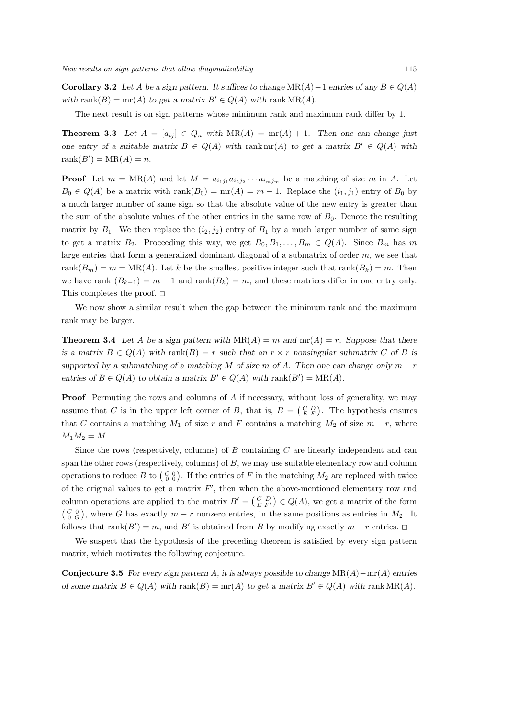**Corollary 3.2** *Let A be a sign pattern. It suffices to change*  $MR(A) - 1$  *entries of any*  $B \in Q(A)$ *with* rank $(B) = \text{mr}(A)$  *to get a matrix*  $B' \in Q(A)$  *with* rank MR $(A)$ *.* 

The next result is on sign patterns whose minimum rank and maximum rank differ by 1.

**Theorem 3.3** Let  $A = [a_{ij}] \in Q_n$  with  $MR(A) = mr(A) + 1$ . Then one can change just *one entry of a suitable matrix*  $B \in Q(A)$  *with* rank mr(*A*) *to get a matrix*  $B' \in Q(A)$  *with* rank $(B') = MR(A) = n$ .

**Proof** Let  $m = MR(A)$  and let  $M = a_{i_1j_1}a_{i_2j_2}\cdots a_{i_mj_m}$  be a matching of size  $m$  in  $A$ . Let  $B_0 \in Q(A)$  be a matrix with rank $(B_0) = \text{mr}(A) = m - 1$ . Replace the  $(i_1, j_1)$  entry of  $B_0$  by a much larger number of same sign so that the absolute value of the new entry is greater than the sum of the absolute values of the other entries in the same row of  $B_0$ . Denote the resulting matrix by  $B_1$ . We then replace the  $(i_2, j_2)$  entry of  $B_1$  by a much larger number of same sign to get a matrix  $B_2$ . Proceeding this way, we get  $B_0, B_1, \ldots, B_m \in Q(A)$ . Since  $B_m$  has m large entries that form a generalized dominant diagonal of a submatrix of order *m*, we see that rank $(B_m) = m = MR(A)$ . Let *k* be the smallest positive integer such that rank $(B_k) = m$ . Then we have rank  $(B_{k-1}) = m-1$  and  $\operatorname{rank}(B_k) = m$ , and these matrices differ in one entry only. This completes the proof.  $\square$ 

We now show a similar result when the gap between the minimum rank and the maximum rank may be larger.

**Theorem 3.4** Let *A* be a sign pattern with  $MR(A) = m$  and  $mr(A) = r$ . Suppose that there *is a matrix*  $B \in Q(A)$  *with* rank $(B) = r$  *such that an*  $r \times r$  *nonsingular submatrix C of B is supported by a submatching of a matching*  $M$  *of size*  $m$  *of*  $A$ *. Then one can change only*  $m - r$ *entries of*  $B \in Q(A)$  *to obtain a matrix*  $B' \in Q(A)$  *with* rank $(B') = MR(A)$ *.* 

**Proof** Permuting the rows and columns of *A* if necessary, without loss of generality, we may assume that *C* is in the upper left corner of *B*, that is,  $B = \begin{pmatrix} C & D \\ E & F \end{pmatrix}$ . The hypothesis ensures that *C* contains a matching  $M_1$  of size *r* and *F* contains a matching  $M_2$  of size  $m - r$ , where  $M_1M_2 = M$ .

Since the rows (respectively, columns) of *B* containing *C* are linearly independent and can span the other rows (respectively, columns) of *B*, we may use suitable elementary row and column operations to reduce *B* to  $\begin{pmatrix} C & 0 \\ 0 & 0 \end{pmatrix}$ . If the entries of *F* in the matching  $M_2$  are replaced with twice of the original values to get a matrix  $F'$ , then when the above-mentioned elementary row and column operations are applied to the matrix  $B' = \begin{pmatrix} C & D \\ E & F' \end{pmatrix} \in Q(A)$ , we get a matrix of the form  $\begin{pmatrix} C & 0 \\ 0 & G \end{pmatrix}$ , where *G* has exactly  $m - r$  nonzero entries, in the same positions as entries in  $M_2$ . It follows that  $\text{rank}(B') = m$ , and  $B'$  is obtained from *B* by modifying exactly  $m - r$  entries.  $\Box$ 

We suspect that the hypothesis of the preceding theorem is satisfied by every sign pattern matrix, which motivates the following conjecture.

**Conjecture 3.5** *For every sign pattern A, it is always possible to change* MR(*A*)*−*mr(*A*) *entries of some matrix*  $B \in Q(A)$  *with* rank $(B) = \text{mr}(A)$  *to get a matrix*  $B' \in Q(A)$  *with* rank  $MR(A)$ *.*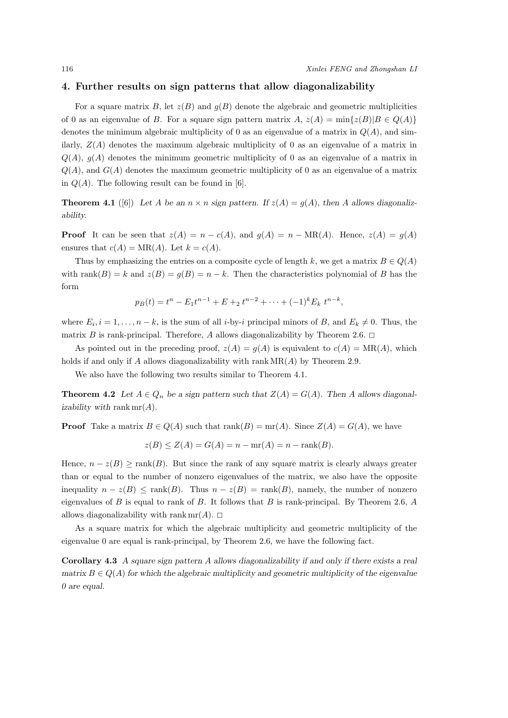#### **4. Further results on sign patterns that allow diagonalizability**

For a square matrix  $B$ , let  $z(B)$  and  $g(B)$  denote the algebraic and geometric multiplicities of 0 as an eigenvalue of *B*. For a square sign pattern matrix *A*,  $z(A) = \min\{z(B)|B \in Q(A)\}\$ denotes the minimum algebraic multiplicity of 0 as an eigenvalue of a matrix in *Q*(*A*), and similarly,  $Z(A)$  denotes the maximum algebraic multiplicity of 0 as an eigenvalue of a matrix in  $Q(A)$ ,  $g(A)$  denotes the minimum geometric multiplicity of 0 as an eigenvalue of a matrix in  $Q(A)$ , and  $G(A)$  denotes the maximum geometric multiplicity of 0 as an eigenvalue of a matrix in  $Q(A)$ . The following result can be found in [6].

**Theorem 4.1** ([6]) Let *A* be an  $n \times n$  sign pattern. If  $z(A) = q(A)$ , then *A* allows diagonaliz*ability.*

**Proof** It can be seen that  $z(A) = n - c(A)$ , and  $g(A) = n - MR(A)$ . Hence,  $z(A) = g(A)$ ensures that  $c(A) = MR(A)$ . Let  $k = c(A)$ .

Thus by emphasizing the entries on a composite cycle of length k, we get a matrix  $B \in Q(A)$ with rank $(B) = k$  and  $z(B) = g(B) = n - k$ . Then the characteristics polynomial of *B* has the form

$$
p_B(t) = t^n - E_1 t^{n-1} + E +_2 t^{n-2} + \dots + (-1)^k E_k t^{n-k},
$$

where  $E_i$ ,  $i = 1, \ldots, n - k$ , is the sum of all *i*-by-*i* principal minors of *B*, and  $E_k \neq 0$ . Thus, the matrix *B* is rank-principal. Therefore, *A* allows diagonalizability by Theorem 2.6.  $\Box$ 

As pointed out in the preceding proof,  $z(A) = g(A)$  is equivalent to  $c(A) = MR(A)$ , which holds if and only if *A* allows diagonalizability with rank MR(*A*) by Theorem 2.9.

We also have the following two results similar to Theorem 4.1.

**Theorem 4.2** *Let*  $A \in Q_n$  *be a sign pattern such that*  $Z(A) = G(A)$ *. Then A allows diagonalizability with* rank mr(*A*)*.*

**Proof** Take a matrix  $B \in Q(A)$  such that  $\text{rank}(B) = \text{mr}(A)$ . Since  $Z(A) = G(A)$ , we have

$$
z(B) \le Z(A) = G(A) = n - \text{mr}(A) = n - \text{rank}(B).
$$

Hence,  $n - z(B) \geq \text{rank}(B)$ . But since the rank of any square matrix is clearly always greater than or equal to the number of nonzero eigenvalues of the matrix, we also have the opposite inequality  $n - z(B) \leq \text{rank}(B)$ . Thus  $n - z(B) = \text{rank}(B)$ , namely, the number of nonzero eigenvalues of *B* is equal to rank of *B*. It follows that *B* is rank-principal. By Theorem 2.6, *A* allows diagonalizability with rank  $mr(A)$ .  $\Box$ 

As a square matrix for which the algebraic multiplicity and geometric multiplicity of the eigenvalue 0 are equal is rank-principal, by Theorem 2.6, we have the following fact.

**Corollary 4.3** *A square sign pattern A allows diagonalizability if and only if there exists a real matrix*  $B \in Q(A)$  for which the algebraic multiplicity and geometric multiplicity of the eigenvalue *0 are equal.*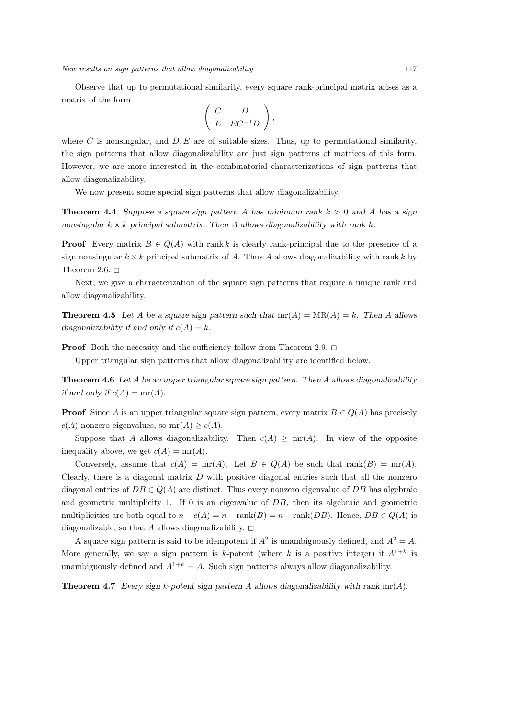Observe that up to permutational similarity, every square rank-principal matrix arises as a matrix of the form

$$
\left(\begin{array}{cc} C & D \\ E & EC^{-1}D \end{array}\right),\end{array}
$$

where  $C$  is nonsingular, and  $D, E$  are of suitable sizes. Thus, up to permutational similarity, the sign patterns that allow diagonalizability are just sign patterns of matrices of this form. However, we are more interested in the combinatorial characterizations of sign patterns that allow diagonalizability.

We now present some special sign patterns that allow diagonalizability.

**Theorem 4.4** *Suppose a square sign pattern A has minimum rank k >* 0 *and A has a sign nonsingular k × k principal submatrix. Then A allows diagonalizability with rank k.*

**Proof** Every matrix  $B \in Q(A)$  with rank k is clearly rank-principal due to the presence of a sign nonsingular  $k \times k$  principal submatrix of *A*. Thus *A* allows diagonalizability with rank *k* by Theorem 2.6.  $\square$ 

Next, we give a characterization of the square sign patterns that require a unique rank and allow diagonalizability.

**Theorem 4.5** Let *A* be a square sign pattern such that  $mr(A) = MR(A) = k$ . Then *A* allows *diagonalizability if and only if*  $c(A) = k$ *.* 

**Proof** Both the necessity and the sufficiency follow from Theorem 2.9.  $\Box$ 

Upper triangular sign patterns that allow diagonalizability are identified below.

**Theorem 4.6** *Let A be an upper triangular square sign pattern. Then A allows diagonalizability if and only if*  $c(A) = mr(A)$ *.* 

**Proof** Since *A* is an upper triangular square sign pattern, every matrix  $B \in Q(A)$  has precisely  $c(A)$  nonzero eigenvalues, so  $mr(A) \geq c(A)$ .

Suppose that *A* allows diagonalizability. Then  $c(A) \geq mr(A)$ . In view of the opposite inequality above, we get  $c(A) = mr(A)$ .

Conversely, assume that  $c(A) = \text{mr}(A)$ . Let  $B \in Q(A)$  be such that  $\text{rank}(B) = \text{mr}(A)$ . Clearly, there is a diagonal matrix *D* with positive diagonal entries such that all the nonzero diagonal entries of  $DB \in Q(A)$  are distinct. Thus every nonzero eigenvalue of  $DB$  has algebraic and geometric multiplicity 1. If 0 is an eigenvalue of *DB*, then its algebraic and geometric multiplicities are both equal to  $n - c(A) = n - \text{rank}(B) = n - \text{rank}(DB)$ . Hence,  $DB \in Q(A)$  is diagonalizable, so that *A* allows diagonalizability.  $\Box$ 

A square sign pattern is said to be idempotent if  $A^2$  is unambiguously defined, and  $A^2 = A$ . More generally, we say a sign pattern is k-potent (where  $k$  is a positive integer) if  $A^{1+k}$  is unambiguously defined and  $A^{1+k} = A$ . Such sign patterns always allow diagonalizability.

**Theorem 4.7** *Every sign k-potent sign pattern A allows diagonalizability with rank* mr(*A*)*.*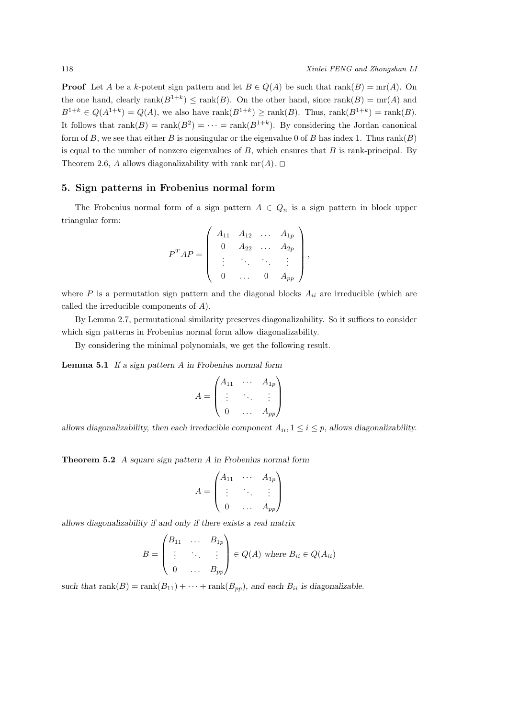**Proof** Let *A* be a *k*-potent sign pattern and let  $B \in Q(A)$  be such that rank $(B) = \text{mr}(A)$ . On the one hand, clearly  $rank(B^{1+k}) \le rank(B)$ . On the other hand, since  $rank(B) = mr(A)$  and  $B^{1+k} \in Q(A^{1+k}) = Q(A)$ , we also have rank $(B^{1+k}) \ge \text{rank}(B)$ . Thus,  $\text{rank}(B^{1+k}) = \text{rank}(B)$ . It follows that  $rank(B) = rank(B^2) = \cdots = rank(B^{1+k})$ . By considering the Jordan canonical form of *B*, we see that either *B* is nonsingular or the eigenvalue 0 of *B* has index 1. Thus rank(*B*) is equal to the number of nonzero eigenvalues of *B*, which ensures that *B* is rank-principal. By Theorem 2.6, *A* allows diagonalizability with rank  $mr(A)$ .  $\Box$ 

#### **5. Sign patterns in Frobenius normal form**

The Frobenius normal form of a sign pattern  $A \in Q_n$  is a sign pattern in block upper triangular form:

$$
P^{T}AP = \begin{pmatrix} A_{11} & A_{12} & \dots & A_{1p} \\ 0 & A_{22} & \dots & A_{2p} \\ \vdots & \ddots & \ddots & \vdots \\ 0 & \dots & 0 & A_{pp} \end{pmatrix},
$$

where  $P$  is a permutation sign pattern and the diagonal blocks  $A_{ii}$  are irreducible (which are called the irreducible components of *A*).

By Lemma 2.7, permutational similarity preserves diagonalizability. So it suffices to consider which sign patterns in Frobenius normal form allow diagonalizability.

By considering the minimal polynomials, we get the following result.

**Lemma 5.1** *If a sign pattern A in Frobenius normal form*

$$
A = \begin{pmatrix} A_{11} & \cdots & A_{1p} \\ \vdots & \ddots & \vdots \\ 0 & \cdots & A_{pp} \end{pmatrix}
$$

allows diagonalizability, then each irreducible component  $A_{ii}$ ,  $1 \le i \le p$ , allows diagonalizability.

**Theorem 5.2** *A square sign pattern A in Frobenius normal form*

$$
A = \begin{pmatrix} A_{11} & \cdots & A_{1p} \\ \vdots & \ddots & \vdots \\ 0 & \cdots & A_{pp} \end{pmatrix}
$$

*allows diagonalizability if and only if there exists a real matrix*

$$
B = \begin{pmatrix} B_{11} & \dots & B_{1p} \\ \vdots & \ddots & \vdots \\ 0 & \dots & B_{pp} \end{pmatrix} \in Q(A) \text{ where } B_{ii} \in Q(A_{ii})
$$

*such that*  $rank(B) = rank(B_{11}) + \cdots + rank(B_{pp})$ *, and each*  $B_{ii}$  *is diagonalizable.*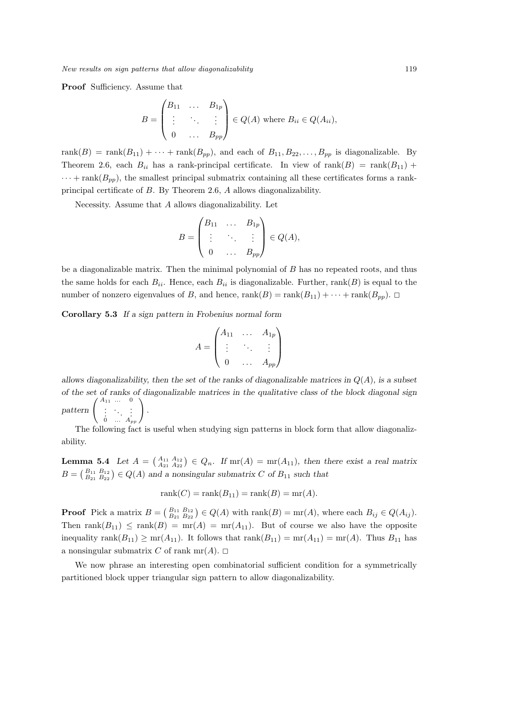**Proof** Sufficiency. Assume that

$$
B = \begin{pmatrix} B_{11} & \dots & B_{1p} \\ \vdots & \ddots & \vdots \\ 0 & \dots & B_{pp} \end{pmatrix} \in Q(A) \text{ where } B_{ii} \in Q(A_{ii}),
$$

 $rank(B) = rank(B_{11}) + \cdots + rank(B_{pp})$ , and each of  $B_{11}, B_{22}, \ldots, B_{pp}$  is diagonalizable. By Theorem 2.6, each  $B_{ii}$  has a rank-principal certificate. In view of rank $(B)$  = rank $(B_{11})$  +  $\cdots$  + rank( $B_{pp}$ ), the smallest principal submatrix containing all these certificates forms a rankprincipal certificate of *B*. By Theorem 2.6, *A* allows diagonalizability.

Necessity. Assume that *A* allows diagonalizability. Let

$$
B = \begin{pmatrix} B_{11} & \dots & B_{1p} \\ \vdots & \ddots & \vdots \\ 0 & \dots & B_{pp} \end{pmatrix} \in Q(A),
$$

be a diagonalizable matrix. Then the minimal polynomial of *B* has no repeated roots, and thus the same holds for each  $B_{ii}$ . Hence, each  $B_{ii}$  is diagonalizable. Further, rank( $B$ ) is equal to the number of nonzero eigenvalues of *B*, and hence, rank( $B$ ) = rank( $B_{11}$ ) +  $\cdots$  + rank( $B_{pp}$ ).  $\Box$ 

**Corollary 5.3** *If a sign pattern in Frobenius normal form*

$$
A = \begin{pmatrix} A_{11} & \dots & A_{1p} \\ \vdots & \ddots & \vdots \\ 0 & \dots & A_{pp} \end{pmatrix}
$$

*allows diagonalizability, then the set of the ranks of diagonalizable matrices in Q*(*A*)*, is a subset of the set of ranks of diagonalizable matrices in the qualitative class of the block diagonal sign*  $\text{pattern} \left( \begin{array}{ccc} A_{11} & \dots & 0 \\ \vdots & \ddots & \vdots \\ 0 & \dots & A_{pp} \end{array} \right)$ *.*

The following fact is useful when studying sign patterns in block form that allow diagonalizability.

**Lemma 5.4** *Let*  $A = \begin{pmatrix} A_{11} & A_{12} \\ A_{21} & A_{22} \end{pmatrix} \in Q_n$ . If  $\text{mr}(A) = \text{mr}(A_{11})$ , then there exist a real matrix  $B = \begin{pmatrix} B_{11} & B_{12} \\ B_{21} & B_{22} \end{pmatrix} \in Q(A)$  and a nonsingular submatrix *C* of  $B_{11}$  such that

$$
rank(C) = rank(B_{11}) = rank(B) = mr(A).
$$

**Proof** Pick a matrix  $B = \begin{pmatrix} B_{11} & B_{12} \\ B_{21} & B_{22} \end{pmatrix} \in Q(A)$  with rank $(B) = \text{mr}(A)$ , where each  $B_{ij} \in Q(A_{ij})$ . Then rank $(B_{11}) \leq$  rank $(B) = mr(A) = mr(A_{11})$ . But of course we also have the opposite inequality rank $(B_{11}) \geq mr(A_{11})$ . It follows that rank $(B_{11}) = mr(A_{11}) = mr(A)$ . Thus  $B_{11}$  has a nonsingular submatrix *C* of rank mr(*A*).  $\Box$ 

We now phrase an interesting open combinatorial sufficient condition for a symmetrically partitioned block upper triangular sign pattern to allow diagonalizability.